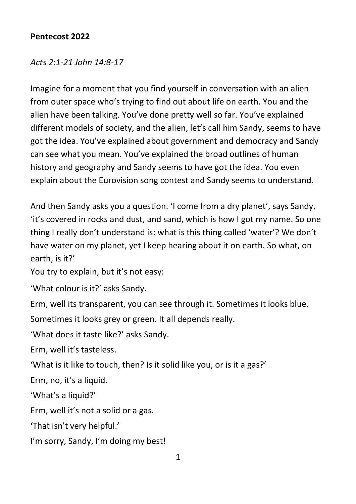## **Pentecost 2022**

## *Acts 2:1-21 John 14:8-17*

Imagine for a moment that you find yourself in conversation with an alien from outer space who's trying to find out about life on earth. You and the alien have been talking. You've done pretty well so far. You've explained different models of society, and the alien, let's call him Sandy, seems to have got the idea. You've explained about government and democracy and Sandy can see what you mean. You've explained the broad outlines of human history and geography and Sandy seems to have got the idea. You even explain about the Eurovision song contest and Sandy seems to understand.

And then Sandy asks you a question. 'I come from a dry planet', says Sandy, 'it's covered in rocks and dust, and sand, which is how I got my name. So one thing I really don't understand is: what is this thing called 'water'? We don't have water on my planet, yet I keep hearing about it on earth. So what, on earth, is it?'

You try to explain, but it's not easy:

'What colour is it?' asks Sandy.

Erm, well its transparent, you can see through it. Sometimes it looks blue.

Sometimes it looks grey or green. It all depends really.

'What does it taste like?' asks Sandy.

Erm, well it's tasteless.

'What is it like to touch, then? Is it solid like you, or is it a gas?'

Erm, no, it's a liquid.

'What's a liquid?'

Erm, well it's not a solid or a gas.

'That isn't very helpful.'

I'm sorry, Sandy, I'm doing my best!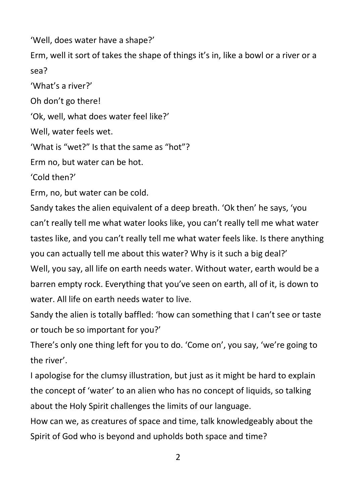'Well, does water have a shape?'

Erm, well it sort of takes the shape of things it's in, like a bowl or a river or a sea?

'What's a river?'

Oh don't go there!

'Ok, well, what does water feel like?'

Well, water feels wet.

'What is "wet?" Is that the same as "hot"?

Erm no, but water can be hot.

'Cold then?'

Erm, no, but water can be cold.

Sandy takes the alien equivalent of a deep breath. 'Ok then' he says, 'you can't really tell me what water looks like, you can't really tell me what water tastes like, and you can't really tell me what water feels like. Is there anything you can actually tell me about this water? Why is it such a big deal?' Well, you say, all life on earth needs water. Without water, earth would be a barren empty rock. Everything that you've seen on earth, all of it, is down to water. All life on earth needs water to live.

Sandy the alien is totally baffled: 'how can something that I can't see or taste or touch be so important for you?'

There's only one thing left for you to do. 'Come on', you say, 'we're going to the river'.

I apologise for the clumsy illustration, but just as it might be hard to explain the concept of 'water' to an alien who has no concept of liquids, so talking about the Holy Spirit challenges the limits of our language.

How can we, as creatures of space and time, talk knowledgeably about the Spirit of God who is beyond and upholds both space and time?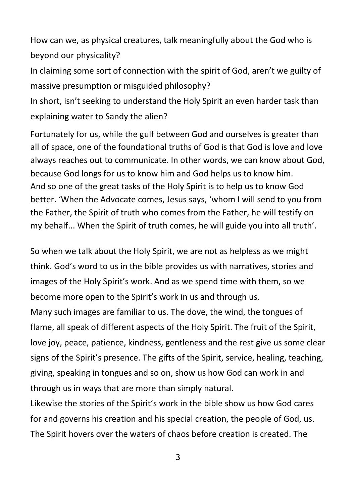How can we, as physical creatures, talk meaningfully about the God who is beyond our physicality?

In claiming some sort of connection with the spirit of God, aren't we guilty of massive presumption or misguided philosophy?

In short, isn't seeking to understand the Holy Spirit an even harder task than explaining water to Sandy the alien?

Fortunately for us, while the gulf between God and ourselves is greater than all of space, one of the foundational truths of God is that God is love and love always reaches out to communicate. In other words, we can know about God, because God longs for us to know him and God helps us to know him. And so one of the great tasks of the Holy Spirit is to help us to know God better. 'When the Advocate comes, Jesus says, 'whom I will send to you from the Father, the Spirit of truth who comes from the Father, he will testify on my behalf... When the Spirit of truth comes, he will guide you into all truth'.

So when we talk about the Holy Spirit, we are not as helpless as we might think. God's word to us in the bible provides us with narratives, stories and images of the Holy Spirit's work. And as we spend time with them, so we become more open to the Spirit's work in us and through us.

Many such images are familiar to us. The dove, the wind, the tongues of flame, all speak of different aspects of the Holy Spirit. The fruit of the Spirit, love joy, peace, patience, kindness, gentleness and the rest give us some clear signs of the Spirit's presence. The gifts of the Spirit, service, healing, teaching, giving, speaking in tongues and so on, show us how God can work in and through us in ways that are more than simply natural.

Likewise the stories of the Spirit's work in the bible show us how God cares for and governs his creation and his special creation, the people of God, us. The Spirit hovers over the waters of chaos before creation is created. The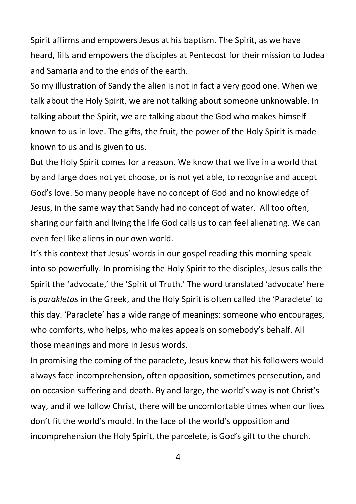Spirit affirms and empowers Jesus at his baptism. The Spirit, as we have heard, fills and empowers the disciples at Pentecost for their mission to Judea and Samaria and to the ends of the earth.

So my illustration of Sandy the alien is not in fact a very good one. When we talk about the Holy Spirit, we are not talking about someone unknowable. In talking about the Spirit, we are talking about the God who makes himself known to us in love. The gifts, the fruit, the power of the Holy Spirit is made known to us and is given to us.

But the Holy Spirit comes for a reason. We know that we live in a world that by and large does not yet choose, or is not yet able, to recognise and accept God's love. So many people have no concept of God and no knowledge of Jesus, in the same way that Sandy had no concept of water. All too often, sharing our faith and living the life God calls us to can feel alienating. We can even feel like aliens in our own world.

It's this context that Jesus' words in our gospel reading this morning speak into so powerfully. In promising the Holy Spirit to the disciples, Jesus calls the Spirit the 'advocate,' the 'Spirit of Truth.' The word translated 'advocate' here is *parakletos* in the Greek, and the Holy Spirit is often called the 'Paraclete' to this day. 'Paraclete' has a wide range of meanings: someone who encourages, who comforts, who helps, who makes appeals on somebody's behalf. All those meanings and more in Jesus words.

In promising the coming of the paraclete, Jesus knew that his followers would always face incomprehension, often opposition, sometimes persecution, and on occasion suffering and death. By and large, the world's way is not Christ's way, and if we follow Christ, there will be uncomfortable times when our lives don't fit the world's mould. In the face of the world's opposition and incomprehension the Holy Spirit, the parcelete, is God's gift to the church.

4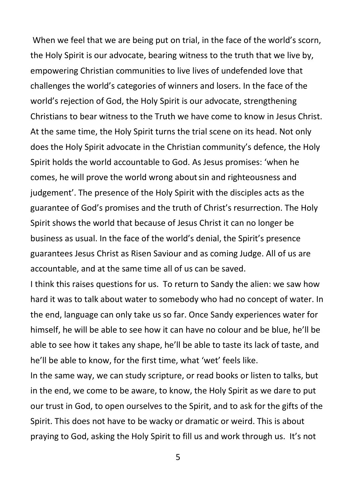When we feel that we are being put on trial, in the face of the world's scorn, the Holy Spirit is our advocate, bearing witness to the truth that we live by, empowering Christian communities to live lives of undefended love that challenges the world's categories of winners and losers. In the face of the world's rejection of God, the Holy Spirit is our advocate, strengthening Christians to bear witness to the Truth we have come to know in Jesus Christ. At the same time, the Holy Spirit turns the trial scene on its head. Not only does the Holy Spirit advocate in the Christian community's defence, the Holy Spirit holds the world accountable to God. As Jesus promises: 'when he comes, he will prove the world wrong aboutsin and righteousness and judgement'. The presence of the Holy Spirit with the disciples acts as the guarantee of God's promises and the truth of Christ's resurrection. The Holy Spirit shows the world that because of Jesus Christ it can no longer be business as usual. In the face of the world's denial, the Spirit's presence guarantees Jesus Christ as Risen Saviour and as coming Judge. All of us are accountable, and at the same time all of us can be saved.

I think this raises questions for us. To return to Sandy the alien: we saw how hard it was to talk about water to somebody who had no concept of water. In the end, language can only take us so far. Once Sandy experiences water for himself, he will be able to see how it can have no colour and be blue, he'll be able to see how it takes any shape, he'll be able to taste its lack of taste, and he'll be able to know, for the first time, what 'wet' feels like.

In the same way, we can study scripture, or read books or listen to talks, but in the end, we come to be aware, to know, the Holy Spirit as we dare to put our trust in God, to open ourselves to the Spirit, and to ask for the gifts of the Spirit. This does not have to be wacky or dramatic or weird. This is about praying to God, asking the Holy Spirit to fill us and work through us. It's not